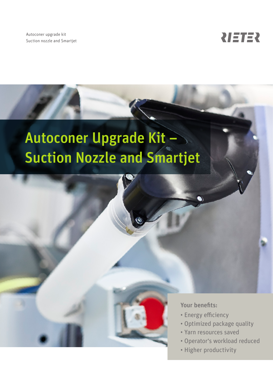Autoconer upgrade kit Suction nozzle and Smartjet



# Autoconer Upgrade Kit – Suction Nozzle and Smartjet



#### Your benefits:

- Energy efficiency
- Optimized package quality
- Yarn resources saved
- Operator's workload reduced
- Higher productivity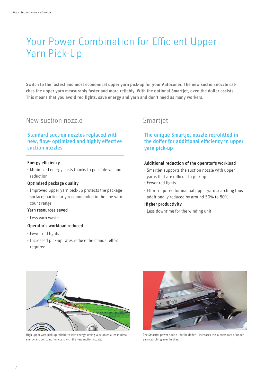## Your Power Combination for Efficient Upper Yarn Pick-Up

Switch to the fastest and most economical upper yarn pick-up for your Autoconer. The new suction nozzle catches the upper yarn measurably faster and more reliably. With the optional Smartjet, even the doffer assists. This means that you avoid red lights, save energy and yarn and don't need as many workers.

### New suction nozzle Smartjet

#### Standard suction nozzles replaced with new, flow- optimized and highly effective suction nozzles

#### Energy efficiency

• Minimized energy costs thanks to possible vacuum reduction

#### Optimized package quality

• Improved upper yarn pick-up protects the package surface; particularly recommended in the fine yarn count range

#### Yarn resources saved

• Less yarn waste

#### Operator's workload reduced

- Fewer red lights
- Increased pick-up rates reduce the manual effort required

#### The unique Smartjet nozzle retrofitted in the doffer for additional efficiency in upper yarn pick-up

#### Additional reduction of the operator's workload

- Smartjet supports the suction nozzle with upper yarns that are difficult to pick up
- Fewer red lights
- Effort required for manual upper yarn searching thus additionally reduced by around 50% to 80%

#### Higher productivity

• Less downtime for the winding unit



High upper yarn pick-up reliability with energy-saving vacuum ensures minimal energy and consumption costs with the new suction nozzle.



The Smartjet power nozzle – in the doffer – increases the success rate of upper yarn searching even further.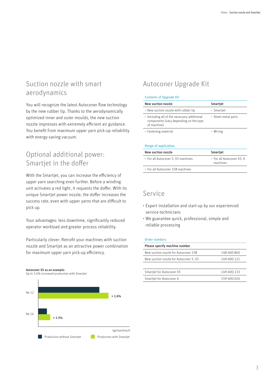### Suction nozzle with smart aerodynamics

You will recognize the latest Autoconer flow technology by the new rubber lip. Thanks to the aerodynamically optimized inner and outer moulds, the new suction nozzle impresses with extremely efficient air guidance. You benefit from maximum upper yarn pick-up reliability with energy-saving vacuum.

### Optional additional power: Smartjet in the doffer

With the Smartjet, you can increase the efficiency of upper yarn searching even further. Before a winding unit activates a red light, it requests the doffer. With its unique Smartjet power nozzle, the doffer increases the success rate, even with upper yarns that are difficult to pick up.

Your advantages: less downtime, significantly reduced operator workload and greater process reliability.

Particularly clever: Retrofit your machines with suction nozzle and Smartjet as an attractive power combination for maximum upper yarn pick-up efficiency.

Autoconer X5 as an example: Up to 1.6% increased production with Smartjet



### Autoconer Upgrade Kit

#### Contents of Upgrade Kit

| New suction nozzle                                                                                   | Smartjet            |
|------------------------------------------------------------------------------------------------------|---------------------|
| • New suction nozzle with rubber lip                                                                 | • Smartjet          |
| • Including all of the necessary additional<br>components (vary depending on the type<br>of machine) | • Sheet metal parts |
| • Fastening material                                                                                 | • Wiring            |

#### Range of application

| New suction nozzle                 | Smartjet                              |
|------------------------------------|---------------------------------------|
| • For all Autoconer 5, X5 machines | • For all Autoconer X5, 6<br>machines |
| • For all Autoconer 338 machines   |                                       |
|                                    |                                       |

### Service

- Expert installation and start-up by our experienced service technicians
- We guarantee quick, professional, simple and reliable processing

#### Order numbers

| Please specify machine number          |             |
|----------------------------------------|-------------|
| New suction nozzle for Autoconer 338   | 148-400.860 |
| New suction nozzle for Autoconer 5, X5 | 149-400.121 |
|                                        |             |
| Smartjet for Autoconer X5              | 149-400.133 |
| Smartjet for Autoconer 6               | 159-400.026 |